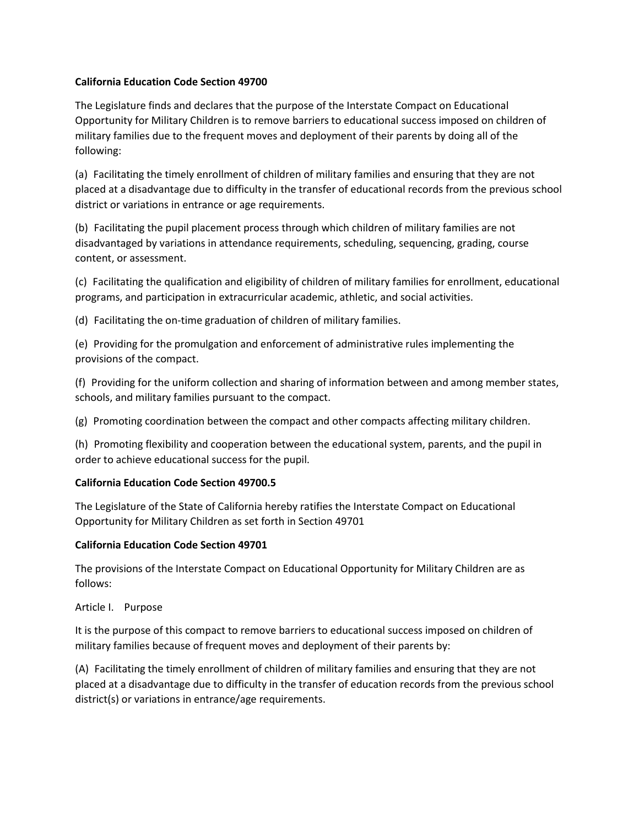### **California Education Code Section 49700**

The Legislature finds and declares that the purpose of the Interstate Compact on Educational Opportunity for Military Children is to remove barriers to educational success imposed on children of military families due to the frequent moves and deployment of their parents by doing all of the following:

(a) Facilitating the timely enrollment of children of military families and ensuring that they are not placed at a disadvantage due to difficulty in the transfer of educational records from the previous school district or variations in entrance or age requirements.

(b) Facilitating the pupil placement process through which children of military families are not disadvantaged by variations in attendance requirements, scheduling, sequencing, grading, course content, or assessment.

(c) Facilitating the qualification and eligibility of children of military families for enrollment, educational programs, and participation in extracurricular academic, athletic, and social activities.

(d) Facilitating the on-time graduation of children of military families.

(e) Providing for the promulgation and enforcement of administrative rules implementing the provisions of the compact.

(f) Providing for the uniform collection and sharing of information between and among member states, schools, and military families pursuant to the compact.

(g) Promoting coordination between the compact and other compacts affecting military children.

(h) Promoting flexibility and cooperation between the educational system, parents, and the pupil in order to achieve educational success for the pupil.

# **California Education Code Section 49700.5**

The Legislature of the State of California hereby ratifies the Interstate Compact on Educational Opportunity for Military Children as set forth in Section 49701

# **California Education Code Section 49701**

The provisions of the Interstate Compact on Educational Opportunity for Military Children are as follows:

Article I. Purpose

It is the purpose of this compact to remove barriers to educational success imposed on children of military families because of frequent moves and deployment of their parents by:

(A) Facilitating the timely enrollment of children of military families and ensuring that they are not placed at a disadvantage due to difficulty in the transfer of education records from the previous school district(s) or variations in entrance/age requirements.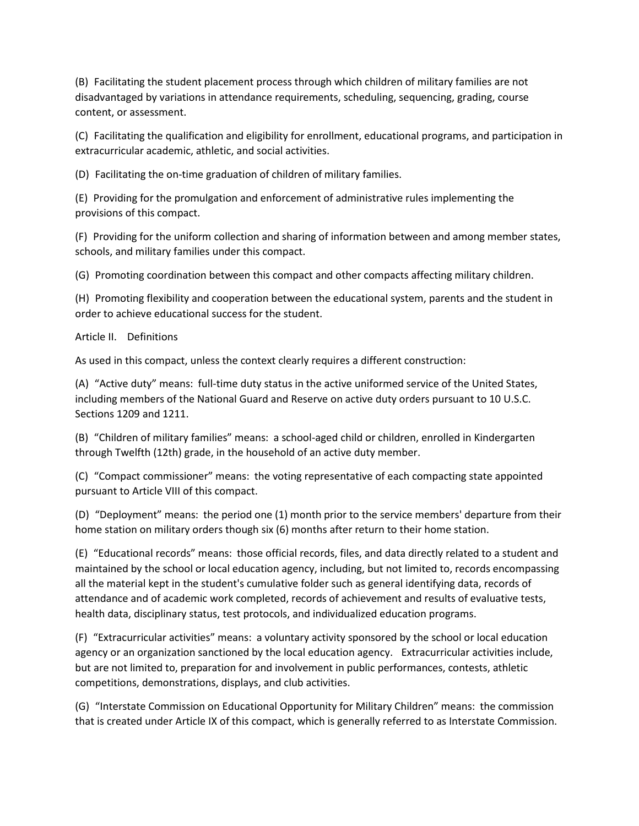(B) Facilitating the student placement process through which children of military families are not disadvantaged by variations in attendance requirements, scheduling, sequencing, grading, course content, or assessment.

(C) Facilitating the qualification and eligibility for enrollment, educational programs, and participation in extracurricular academic, athletic, and social activities.

(D) Facilitating the on-time graduation of children of military families.

(E) Providing for the promulgation and enforcement of administrative rules implementing the provisions of this compact.

(F) Providing for the uniform collection and sharing of information between and among member states, schools, and military families under this compact.

(G) Promoting coordination between this compact and other compacts affecting military children.

(H) Promoting flexibility and cooperation between the educational system, parents and the student in order to achieve educational success for the student.

Article II. Definitions

As used in this compact, unless the context clearly requires a different construction:

(A) "Active duty" means:  full-time duty status in the active uniformed service of the United States, including members of the National Guard and Reserve on active duty orders pursuant to 10 U.S.C. Sections 1209 and 1211.

(B) "Children of military families" means:  a school-aged child or children, enrolled in Kindergarten through Twelfth (12th) grade, in the household of an active duty member.

(C) "Compact commissioner" means:  the voting representative of each compacting state appointed pursuant to Article VIII of this compact.

(D) "Deployment" means:  the period one (1) month prior to the service members' departure from their home station on military orders though six (6) months after return to their home station.

(E) "Educational records" means:  those official records, files, and data directly related to a student and maintained by the school or local education agency, including, but not limited to, records encompassing all the material kept in the student's cumulative folder such as general identifying data, records of attendance and of academic work completed, records of achievement and results of evaluative tests, health data, disciplinary status, test protocols, and individualized education programs.

(F) "Extracurricular activities" means:  a voluntary activity sponsored by the school or local education agency or an organization sanctioned by the local education agency. Extracurricular activities include, but are not limited to, preparation for and involvement in public performances, contests, athletic competitions, demonstrations, displays, and club activities.

(G) "Interstate Commission on Educational Opportunity for Military Children" means:  the commission that is created under Article IX of this compact, which is generally referred to as Interstate Commission.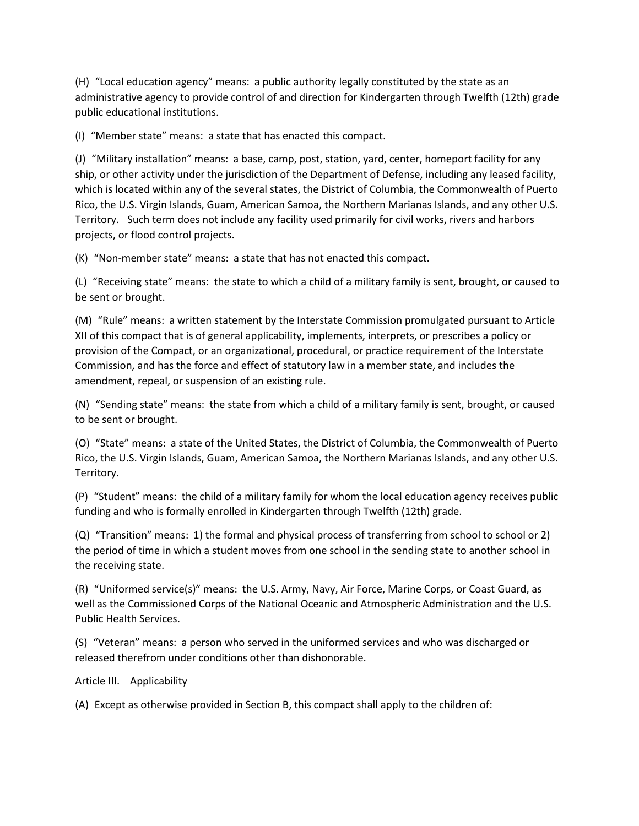(H) "Local education agency" means:  a public authority legally constituted by the state as an administrative agency to provide control of and direction for Kindergarten through Twelfth (12th) grade public educational institutions.

(I) "Member state" means:  a state that has enacted this compact.

(J) "Military installation" means:  a base, camp, post, station, yard, center, homeport facility for any ship, or other activity under the jurisdiction of the Department of Defense, including any leased facility, which is located within any of the several states, the District of Columbia, the Commonwealth of Puerto Rico, the U.S. Virgin Islands, Guam, American Samoa, the Northern Marianas Islands, and any other U.S. Territory. Such term does not include any facility used primarily for civil works, rivers and harbors projects, or flood control projects.

(K) "Non-member state" means:  a state that has not enacted this compact.

(L) "Receiving state" means:  the state to which a child of a military family is sent, brought, or caused to be sent or brought.

(M) "Rule" means:  a written statement by the Interstate Commission promulgated pursuant to Article XII of this compact that is of general applicability, implements, interprets, or prescribes a policy or provision of the Compact, or an organizational, procedural, or practice requirement of the Interstate Commission, and has the force and effect of statutory law in a member state, and includes the amendment, repeal, or suspension of an existing rule.

(N) "Sending state" means:  the state from which a child of a military family is sent, brought, or caused to be sent or brought.

(O) "State" means:  a state of the United States, the District of Columbia, the Commonwealth of Puerto Rico, the U.S. Virgin Islands, Guam, American Samoa, the Northern Marianas Islands, and any other U.S. Territory.

(P) "Student" means:  the child of a military family for whom the local education agency receives public funding and who is formally enrolled in Kindergarten through Twelfth (12th) grade.

(Q) "Transition" means:  1) the formal and physical process of transferring from school to school or 2) the period of time in which a student moves from one school in the sending state to another school in the receiving state.

(R) "Uniformed service(s)" means:  the U.S. Army, Navy, Air Force, Marine Corps, or Coast Guard, as well as the Commissioned Corps of the National Oceanic and Atmospheric Administration and the U.S. Public Health Services.

(S) "Veteran" means:  a person who served in the uniformed services and who was discharged or released therefrom under conditions other than dishonorable.

Article III. Applicability

(A) Except as otherwise provided in Section B, this compact shall apply to the children of: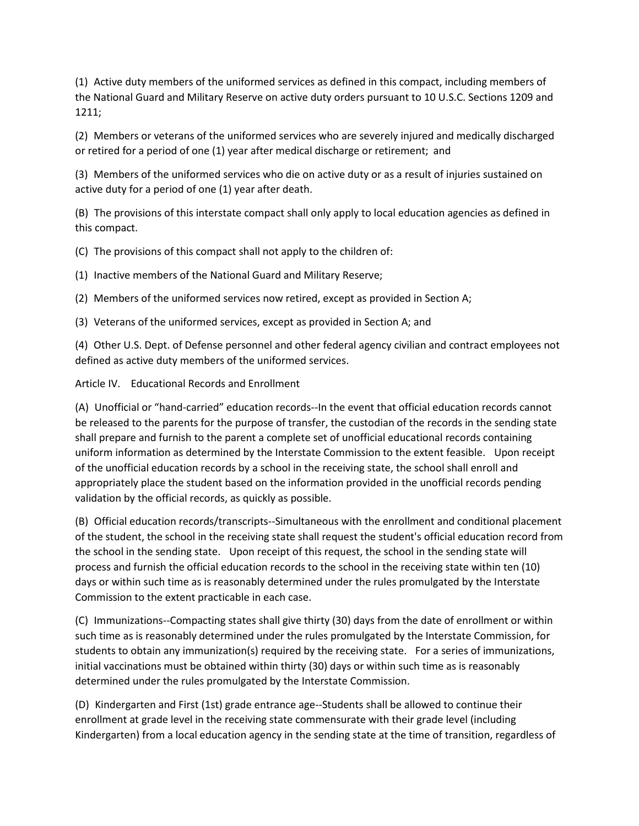(1) Active duty members of the uniformed services as defined in this compact, including members of the National Guard and Military Reserve on active duty orders pursuant to 10 U.S.C. Sections 1209 and 1211;

(2) Members or veterans of the uniformed services who are severely injured and medically discharged or retired for a period of one (1) year after medical discharge or retirement;  and

(3) Members of the uniformed services who die on active duty or as a result of injuries sustained on active duty for a period of one (1) year after death.

(B) The provisions of this interstate compact shall only apply to local education agencies as defined in this compact.

(C) The provisions of this compact shall not apply to the children of:

(1) Inactive members of the National Guard and Military Reserve;

(2) Members of the uniformed services now retired, except as provided in Section A;

(3) Veterans of the uniformed services, except as provided in Section A; and

(4) Other U.S. Dept. of Defense personnel and other federal agency civilian and contract employees not defined as active duty members of the uniformed services.

Article IV. Educational Records and Enrollment

(A) Unofficial or "hand-carried" education records--In the event that official education records cannot be released to the parents for the purpose of transfer, the custodian of the records in the sending state shall prepare and furnish to the parent a complete set of unofficial educational records containing uniform information as determined by the Interstate Commission to the extent feasible. Upon receipt of the unofficial education records by a school in the receiving state, the school shall enroll and appropriately place the student based on the information provided in the unofficial records pending validation by the official records, as quickly as possible.

(B) Official education records/transcripts--Simultaneous with the enrollment and conditional placement of the student, the school in the receiving state shall request the student's official education record from the school in the sending state. Upon receipt of this request, the school in the sending state will process and furnish the official education records to the school in the receiving state within ten (10) days or within such time as is reasonably determined under the rules promulgated by the Interstate Commission to the extent practicable in each case.

(C) Immunizations--Compacting states shall give thirty (30) days from the date of enrollment or within such time as is reasonably determined under the rules promulgated by the Interstate Commission, for students to obtain any immunization(s) required by the receiving state. For a series of immunizations, initial vaccinations must be obtained within thirty (30) days or within such time as is reasonably determined under the rules promulgated by the Interstate Commission.

(D) Kindergarten and First (1st) grade entrance age--Students shall be allowed to continue their enrollment at grade level in the receiving state commensurate with their grade level (including Kindergarten) from a local education agency in the sending state at the time of transition, regardless of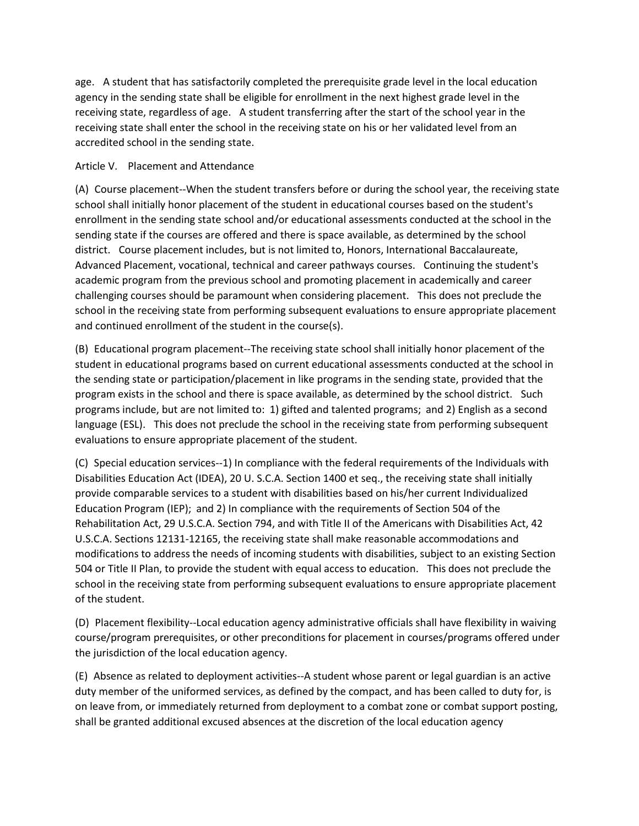age. A student that has satisfactorily completed the prerequisite grade level in the local education agency in the sending state shall be eligible for enrollment in the next highest grade level in the receiving state, regardless of age. A student transferring after the start of the school year in the receiving state shall enter the school in the receiving state on his or her validated level from an accredited school in the sending state.

### Article V. Placement and Attendance

(A) Course placement--When the student transfers before or during the school year, the receiving state school shall initially honor placement of the student in educational courses based on the student's enrollment in the sending state school and/or educational assessments conducted at the school in the sending state if the courses are offered and there is space available, as determined by the school district. Course placement includes, but is not limited to, Honors, International Baccalaureate, Advanced Placement, vocational, technical and career pathways courses. Continuing the student's academic program from the previous school and promoting placement in academically and career challenging courses should be paramount when considering placement. This does not preclude the school in the receiving state from performing subsequent evaluations to ensure appropriate placement and continued enrollment of the student in the course(s).

(B) Educational program placement--The receiving state school shall initially honor placement of the student in educational programs based on current educational assessments conducted at the school in the sending state or participation/placement in like programs in the sending state, provided that the program exists in the school and there is space available, as determined by the school district. Such programs include, but are not limited to:  1) gifted and talented programs;  and 2) English as a second language (ESL). This does not preclude the school in the receiving state from performing subsequent evaluations to ensure appropriate placement of the student.

(C) Special education services--1) In compliance with the federal requirements of the Individuals with Disabilities Education Act (IDEA), 20 U. S.C.A. Section 1400 et seq., the receiving state shall initially provide comparable services to a student with disabilities based on his/her current Individualized Education Program (IEP);  and 2) In compliance with the requirements of Section 504 of the Rehabilitation Act, 29 U.S.C.A. Section 794, and with Title II of the Americans with Disabilities Act, 42 U.S.C.A. Sections 12131-12165, the receiving state shall make reasonable accommodations and modifications to address the needs of incoming students with disabilities, subject to an existing Section 504 or Title II Plan, to provide the student with equal access to education. This does not preclude the school in the receiving state from performing subsequent evaluations to ensure appropriate placement of the student.

(D) Placement flexibility--Local education agency administrative officials shall have flexibility in waiving course/program prerequisites, or other preconditions for placement in courses/programs offered under the jurisdiction of the local education agency.

(E) Absence as related to deployment activities--A student whose parent or legal guardian is an active duty member of the uniformed services, as defined by the compact, and has been called to duty for, is on leave from, or immediately returned from deployment to a combat zone or combat support posting, shall be granted additional excused absences at the discretion of the local education agency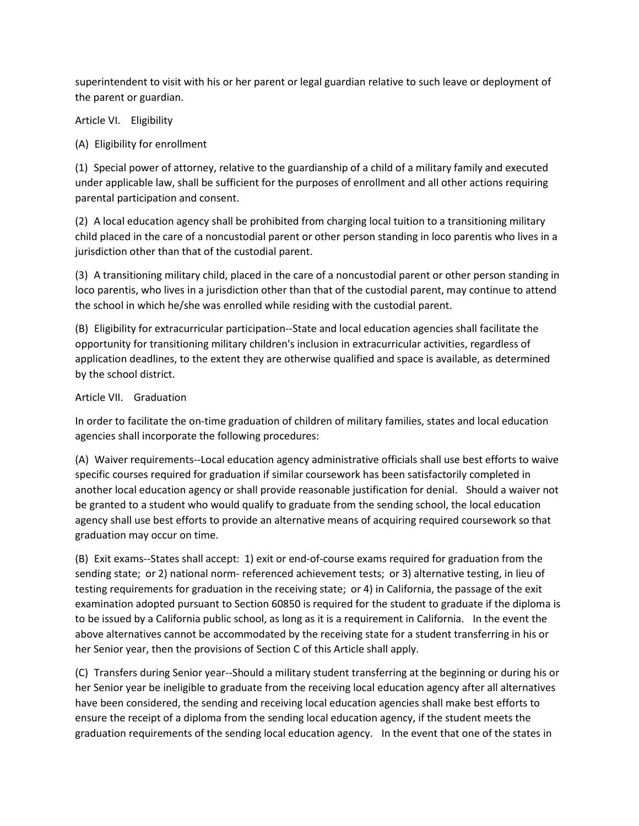superintendent to visit with his or her parent or legal guardian relative to such leave or deployment of the parent or guardian.

Article VI. Eligibility

(A) Eligibility for enrollment

(1) Special power of attorney, relative to the guardianship of a child of a military family and executed under applicable law, shall be sufficient for the purposes of enrollment and all other actions requiring parental participation and consent.

(2) A local education agency shall be prohibited from charging local tuition to a transitioning military child placed in the care of a noncustodial parent or other person standing in loco parentis who lives in a jurisdiction other than that of the custodial parent.

(3) A transitioning military child, placed in the care of a noncustodial parent or other person standing in loco parentis, who lives in a jurisdiction other than that of the custodial parent, may continue to attend the school in which he/she was enrolled while residing with the custodial parent.

(B) Eligibility for extracurricular participation--State and local education agencies shall facilitate the opportunity for transitioning military children's inclusion in extracurricular activities, regardless of application deadlines, to the extent they are otherwise qualified and space is available, as determined by the school district.

### Article VII. Graduation

In order to facilitate the on-time graduation of children of military families, states and local education agencies shall incorporate the following procedures:

(A) Waiver requirements--Local education agency administrative officials shall use best efforts to waive specific courses required for graduation if similar coursework has been satisfactorily completed in another local education agency or shall provide reasonable justification for denial. Should a waiver not be granted to a student who would qualify to graduate from the sending school, the local education agency shall use best efforts to provide an alternative means of acquiring required coursework so that graduation may occur on time.

(B) Exit exams--States shall accept:  1) exit or end-of-course exams required for graduation from the sending state;  or 2) national norm- referenced achievement tests;  or 3) alternative testing, in lieu of testing requirements for graduation in the receiving state;  or 4) in California, the passage of the exit examination adopted pursuant to Section 60850 is required for the student to graduate if the diploma is to be issued by a California public school, as long as it is a requirement in California. In the event the above alternatives cannot be accommodated by the receiving state for a student transferring in his or her Senior year, then the provisions of Section C of this Article shall apply.

(C) Transfers during Senior year--Should a military student transferring at the beginning or during his or her Senior year be ineligible to graduate from the receiving local education agency after all alternatives have been considered, the sending and receiving local education agencies shall make best efforts to ensure the receipt of a diploma from the sending local education agency, if the student meets the graduation requirements of the sending local education agency. In the event that one of the states in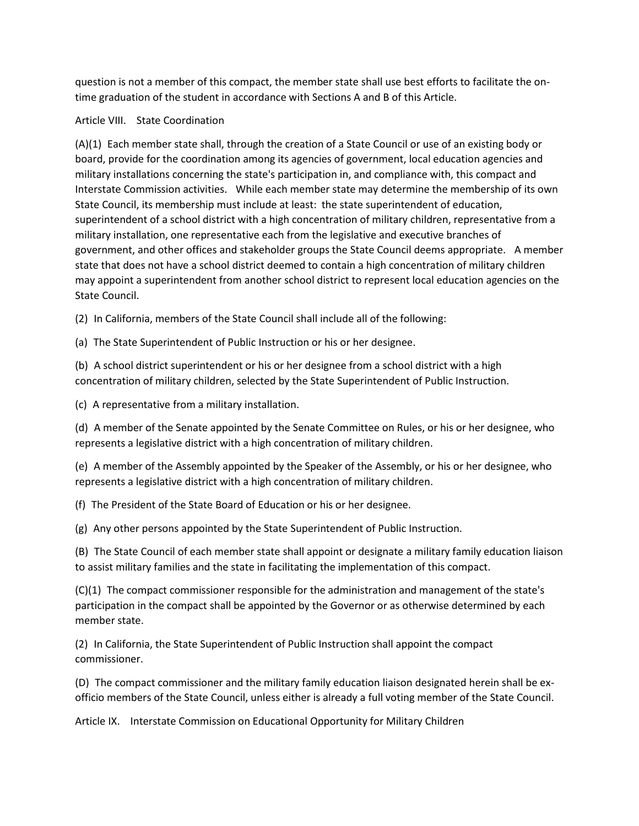question is not a member of this compact, the member state shall use best efforts to facilitate the ontime graduation of the student in accordance with Sections A and B of this Article.

### Article VIII. State Coordination

(A)(1) Each member state shall, through the creation of a State Council or use of an existing body or board, provide for the coordination among its agencies of government, local education agencies and military installations concerning the state's participation in, and compliance with, this compact and Interstate Commission activities. While each member state may determine the membership of its own State Council, its membership must include at least:  the state superintendent of education, superintendent of a school district with a high concentration of military children, representative from a military installation, one representative each from the legislative and executive branches of government, and other offices and stakeholder groups the State Council deems appropriate. A member state that does not have a school district deemed to contain a high concentration of military children may appoint a superintendent from another school district to represent local education agencies on the State Council.

(2) In California, members of the State Council shall include all of the following:

(a) The State Superintendent of Public Instruction or his or her designee.

(b) A school district superintendent or his or her designee from a school district with a high concentration of military children, selected by the State Superintendent of Public Instruction.

(c) A representative from a military installation.

(d) A member of the Senate appointed by the Senate Committee on Rules, or his or her designee, who represents a legislative district with a high concentration of military children.

(e) A member of the Assembly appointed by the Speaker of the Assembly, or his or her designee, who represents a legislative district with a high concentration of military children.

(f) The President of the State Board of Education or his or her designee.

(g) Any other persons appointed by the State Superintendent of Public Instruction.

(B) The State Council of each member state shall appoint or designate a military family education liaison to assist military families and the state in facilitating the implementation of this compact.

(C)(1) The compact commissioner responsible for the administration and management of the state's participation in the compact shall be appointed by the Governor or as otherwise determined by each member state.

(2) In California, the State Superintendent of Public Instruction shall appoint the compact commissioner.

(D) The compact commissioner and the military family education liaison designated herein shall be exofficio members of the State Council, unless either is already a full voting member of the State Council.

Article IX. Interstate Commission on Educational Opportunity for Military Children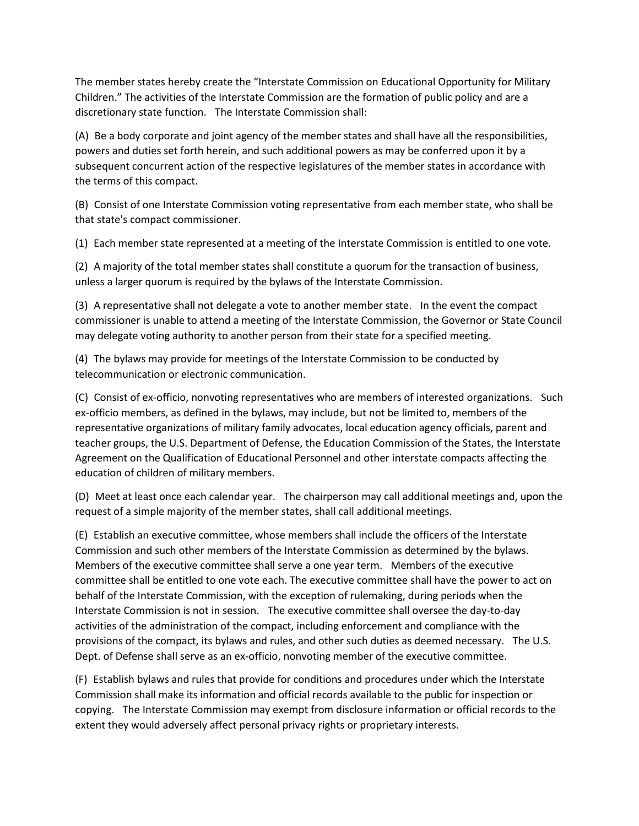The member states hereby create the "Interstate Commission on Educational Opportunity for Military Children." The activities of the Interstate Commission are the formation of public policy and are a discretionary state function. The Interstate Commission shall:

(A) Be a body corporate and joint agency of the member states and shall have all the responsibilities, powers and duties set forth herein, and such additional powers as may be conferred upon it by a subsequent concurrent action of the respective legislatures of the member states in accordance with the terms of this compact.

(B) Consist of one Interstate Commission voting representative from each member state, who shall be that state's compact commissioner.

(1) Each member state represented at a meeting of the Interstate Commission is entitled to one vote.

(2) A majority of the total member states shall constitute a quorum for the transaction of business, unless a larger quorum is required by the bylaws of the Interstate Commission.

(3) A representative shall not delegate a vote to another member state. In the event the compact commissioner is unable to attend a meeting of the Interstate Commission, the Governor or State Council may delegate voting authority to another person from their state for a specified meeting.

(4) The bylaws may provide for meetings of the Interstate Commission to be conducted by telecommunication or electronic communication.

(C) Consist of ex-officio, nonvoting representatives who are members of interested organizations. Such ex-officio members, as defined in the bylaws, may include, but not be limited to, members of the representative organizations of military family advocates, local education agency officials, parent and teacher groups, the U.S. Department of Defense, the Education Commission of the States, the Interstate Agreement on the Qualification of Educational Personnel and other interstate compacts affecting the education of children of military members.

(D) Meet at least once each calendar year. The chairperson may call additional meetings and, upon the request of a simple majority of the member states, shall call additional meetings.

(E) Establish an executive committee, whose members shall include the officers of the Interstate Commission and such other members of the Interstate Commission as determined by the bylaws. Members of the executive committee shall serve a one year term. Members of the executive committee shall be entitled to one vote each. The executive committee shall have the power to act on behalf of the Interstate Commission, with the exception of rulemaking, during periods when the Interstate Commission is not in session. The executive committee shall oversee the day-to-day activities of the administration of the compact, including enforcement and compliance with the provisions of the compact, its bylaws and rules, and other such duties as deemed necessary. The U.S. Dept. of Defense shall serve as an ex-officio, nonvoting member of the executive committee.

(F) Establish bylaws and rules that provide for conditions and procedures under which the Interstate Commission shall make its information and official records available to the public for inspection or copying. The Interstate Commission may exempt from disclosure information or official records to the extent they would adversely affect personal privacy rights or proprietary interests.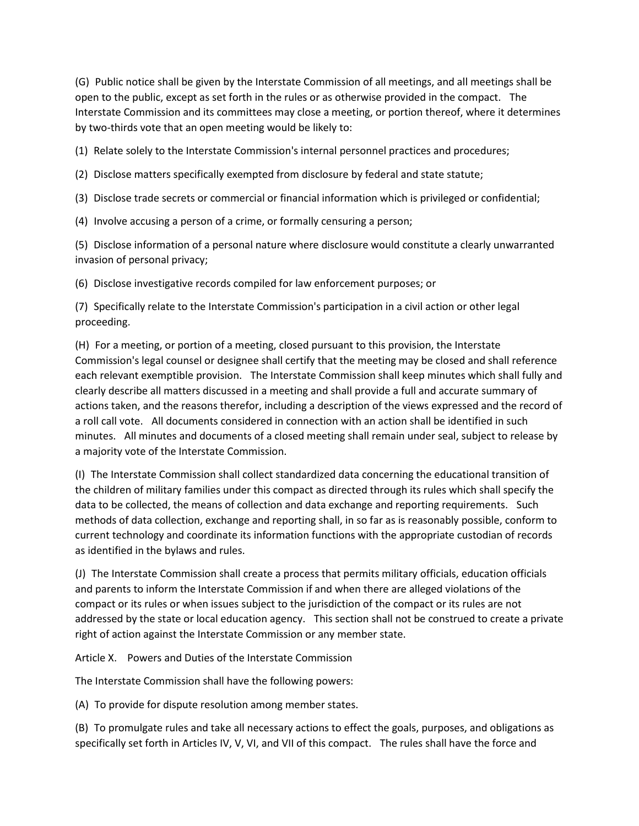(G) Public notice shall be given by the Interstate Commission of all meetings, and all meetings shall be open to the public, except as set forth in the rules or as otherwise provided in the compact. The Interstate Commission and its committees may close a meeting, or portion thereof, where it determines by two-thirds vote that an open meeting would be likely to:

(1) Relate solely to the Interstate Commission's internal personnel practices and procedures;

(2) Disclose matters specifically exempted from disclosure by federal and state statute;

(3) Disclose trade secrets or commercial or financial information which is privileged or confidential;

(4) Involve accusing a person of a crime, or formally censuring a person;

(5) Disclose information of a personal nature where disclosure would constitute a clearly unwarranted invasion of personal privacy;

(6) Disclose investigative records compiled for law enforcement purposes; or

(7) Specifically relate to the Interstate Commission's participation in a civil action or other legal proceeding.

(H) For a meeting, or portion of a meeting, closed pursuant to this provision, the Interstate Commission's legal counsel or designee shall certify that the meeting may be closed and shall reference each relevant exemptible provision. The Interstate Commission shall keep minutes which shall fully and clearly describe all matters discussed in a meeting and shall provide a full and accurate summary of actions taken, and the reasons therefor, including a description of the views expressed and the record of a roll call vote. All documents considered in connection with an action shall be identified in such minutes. All minutes and documents of a closed meeting shall remain under seal, subject to release by a majority vote of the Interstate Commission.

(I) The Interstate Commission shall collect standardized data concerning the educational transition of the children of military families under this compact as directed through its rules which shall specify the data to be collected, the means of collection and data exchange and reporting requirements. Such methods of data collection, exchange and reporting shall, in so far as is reasonably possible, conform to current technology and coordinate its information functions with the appropriate custodian of records as identified in the bylaws and rules.

(J) The Interstate Commission shall create a process that permits military officials, education officials and parents to inform the Interstate Commission if and when there are alleged violations of the compact or its rules or when issues subject to the jurisdiction of the compact or its rules are not addressed by the state or local education agency. This section shall not be construed to create a private right of action against the Interstate Commission or any member state.

Article X. Powers and Duties of the Interstate Commission

The Interstate Commission shall have the following powers:

(A) To provide for dispute resolution among member states.

(B) To promulgate rules and take all necessary actions to effect the goals, purposes, and obligations as specifically set forth in Articles IV, V, VI, and VII of this compact. The rules shall have the force and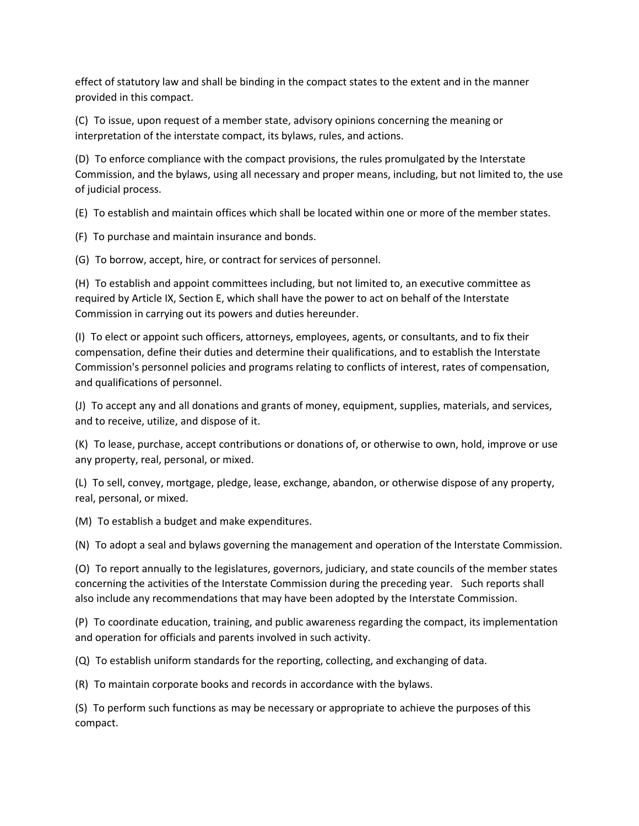effect of statutory law and shall be binding in the compact states to the extent and in the manner provided in this compact.

(C) To issue, upon request of a member state, advisory opinions concerning the meaning or interpretation of the interstate compact, its bylaws, rules, and actions.

(D) To enforce compliance with the compact provisions, the rules promulgated by the Interstate Commission, and the bylaws, using all necessary and proper means, including, but not limited to, the use of judicial process.

(E) To establish and maintain offices which shall be located within one or more of the member states.

(F) To purchase and maintain insurance and bonds.

(G) To borrow, accept, hire, or contract for services of personnel.

(H) To establish and appoint committees including, but not limited to, an executive committee as required by Article IX, Section E, which shall have the power to act on behalf of the Interstate Commission in carrying out its powers and duties hereunder.

(I) To elect or appoint such officers, attorneys, employees, agents, or consultants, and to fix their compensation, define their duties and determine their qualifications, and to establish the Interstate Commission's personnel policies and programs relating to conflicts of interest, rates of compensation, and qualifications of personnel.

(J) To accept any and all donations and grants of money, equipment, supplies, materials, and services, and to receive, utilize, and dispose of it.

(K) To lease, purchase, accept contributions or donations of, or otherwise to own, hold, improve or use any property, real, personal, or mixed.

(L) To sell, convey, mortgage, pledge, lease, exchange, abandon, or otherwise dispose of any property, real, personal, or mixed.

(M) To establish a budget and make expenditures.

(N) To adopt a seal and bylaws governing the management and operation of the Interstate Commission.

(O) To report annually to the legislatures, governors, judiciary, and state councils of the member states concerning the activities of the Interstate Commission during the preceding year. Such reports shall also include any recommendations that may have been adopted by the Interstate Commission.

(P) To coordinate education, training, and public awareness regarding the compact, its implementation and operation for officials and parents involved in such activity.

(Q) To establish uniform standards for the reporting, collecting, and exchanging of data.

(R) To maintain corporate books and records in accordance with the bylaws.

(S) To perform such functions as may be necessary or appropriate to achieve the purposes of this compact.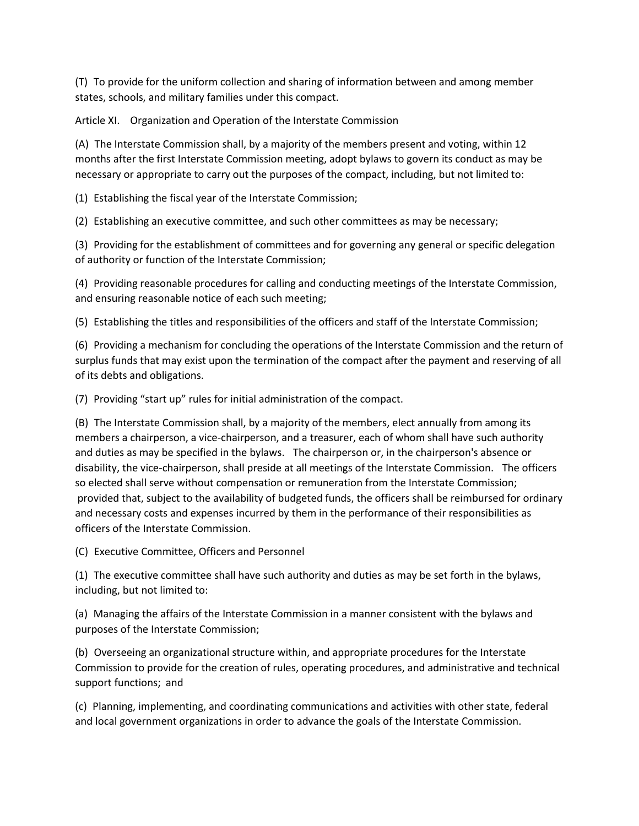(T) To provide for the uniform collection and sharing of information between and among member states, schools, and military families under this compact.

Article XI. Organization and Operation of the Interstate Commission

(A) The Interstate Commission shall, by a majority of the members present and voting, within 12 months after the first Interstate Commission meeting, adopt bylaws to govern its conduct as may be necessary or appropriate to carry out the purposes of the compact, including, but not limited to:

(1) Establishing the fiscal year of the Interstate Commission;

(2) Establishing an executive committee, and such other committees as may be necessary;

(3) Providing for the establishment of committees and for governing any general or specific delegation of authority or function of the Interstate Commission;

(4) Providing reasonable procedures for calling and conducting meetings of the Interstate Commission, and ensuring reasonable notice of each such meeting;

(5) Establishing the titles and responsibilities of the officers and staff of the Interstate Commission;

(6) Providing a mechanism for concluding the operations of the Interstate Commission and the return of surplus funds that may exist upon the termination of the compact after the payment and reserving of all of its debts and obligations.

(7) Providing "start up" rules for initial administration of the compact.

(B) The Interstate Commission shall, by a majority of the members, elect annually from among its members a chairperson, a vice-chairperson, and a treasurer, each of whom shall have such authority and duties as may be specified in the bylaws. The chairperson or, in the chairperson's absence or disability, the vice-chairperson, shall preside at all meetings of the Interstate Commission. The officers so elected shall serve without compensation or remuneration from the Interstate Commission; provided that, subject to the availability of budgeted funds, the officers shall be reimbursed for ordinary and necessary costs and expenses incurred by them in the performance of their responsibilities as officers of the Interstate Commission.

(C) Executive Committee, Officers and Personnel

(1) The executive committee shall have such authority and duties as may be set forth in the bylaws, including, but not limited to:

(a) Managing the affairs of the Interstate Commission in a manner consistent with the bylaws and purposes of the Interstate Commission;

(b) Overseeing an organizational structure within, and appropriate procedures for the Interstate Commission to provide for the creation of rules, operating procedures, and administrative and technical support functions;  and

(c) Planning, implementing, and coordinating communications and activities with other state, federal and local government organizations in order to advance the goals of the Interstate Commission.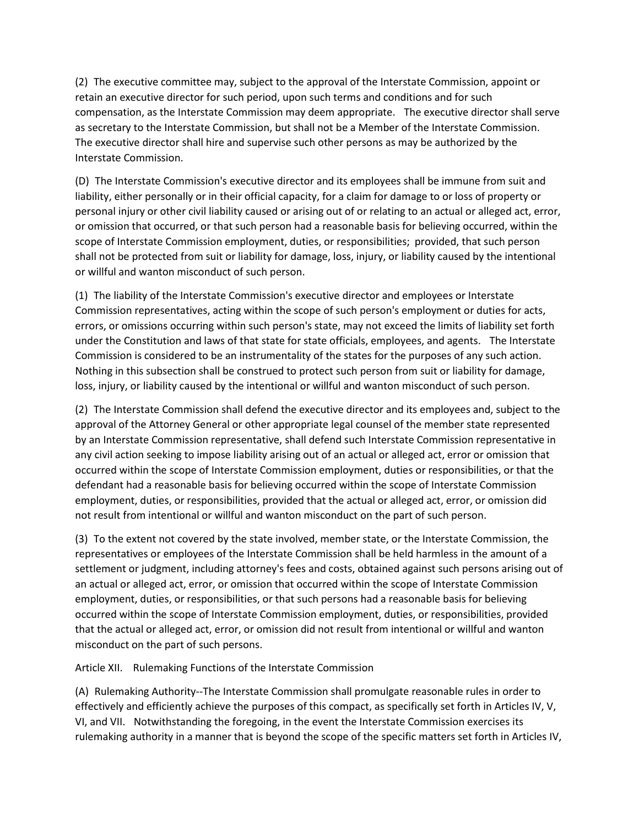(2) The executive committee may, subject to the approval of the Interstate Commission, appoint or retain an executive director for such period, upon such terms and conditions and for such compensation, as the Interstate Commission may deem appropriate. The executive director shall serve as secretary to the Interstate Commission, but shall not be a Member of the Interstate Commission. The executive director shall hire and supervise such other persons as may be authorized by the Interstate Commission.

(D) The Interstate Commission's executive director and its employees shall be immune from suit and liability, either personally or in their official capacity, for a claim for damage to or loss of property or personal injury or other civil liability caused or arising out of or relating to an actual or alleged act, error, or omission that occurred, or that such person had a reasonable basis for believing occurred, within the scope of Interstate Commission employment, duties, or responsibilities;  provided, that such person shall not be protected from suit or liability for damage, loss, injury, or liability caused by the intentional or willful and wanton misconduct of such person.

(1) The liability of the Interstate Commission's executive director and employees or Interstate Commission representatives, acting within the scope of such person's employment or duties for acts, errors, or omissions occurring within such person's state, may not exceed the limits of liability set forth under the Constitution and laws of that state for state officials, employees, and agents. The Interstate Commission is considered to be an instrumentality of the states for the purposes of any such action. Nothing in this subsection shall be construed to protect such person from suit or liability for damage, loss, injury, or liability caused by the intentional or willful and wanton misconduct of such person.

(2) The Interstate Commission shall defend the executive director and its employees and, subject to the approval of the Attorney General or other appropriate legal counsel of the member state represented by an Interstate Commission representative, shall defend such Interstate Commission representative in any civil action seeking to impose liability arising out of an actual or alleged act, error or omission that occurred within the scope of Interstate Commission employment, duties or responsibilities, or that the defendant had a reasonable basis for believing occurred within the scope of Interstate Commission employment, duties, or responsibilities, provided that the actual or alleged act, error, or omission did not result from intentional or willful and wanton misconduct on the part of such person.

(3) To the extent not covered by the state involved, member state, or the Interstate Commission, the representatives or employees of the Interstate Commission shall be held harmless in the amount of a settlement or judgment, including attorney's fees and costs, obtained against such persons arising out of an actual or alleged act, error, or omission that occurred within the scope of Interstate Commission employment, duties, or responsibilities, or that such persons had a reasonable basis for believing occurred within the scope of Interstate Commission employment, duties, or responsibilities, provided that the actual or alleged act, error, or omission did not result from intentional or willful and wanton misconduct on the part of such persons.

Article XII. Rulemaking Functions of the Interstate Commission

(A) Rulemaking Authority--The Interstate Commission shall promulgate reasonable rules in order to effectively and efficiently achieve the purposes of this compact, as specifically set forth in Articles IV, V, VI, and VII. Notwithstanding the foregoing, in the event the Interstate Commission exercises its rulemaking authority in a manner that is beyond the scope of the specific matters set forth in Articles IV,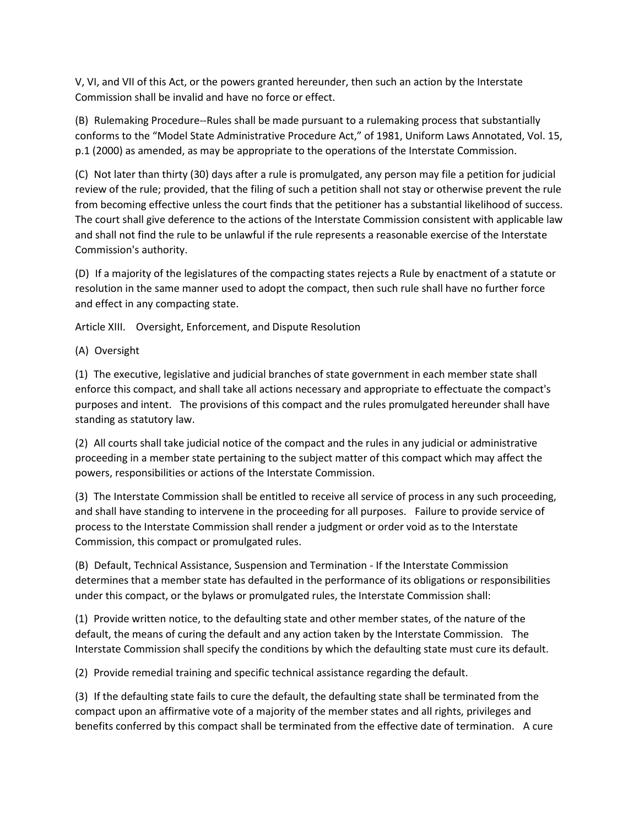V, VI, and VII of this Act, or the powers granted hereunder, then such an action by the Interstate Commission shall be invalid and have no force or effect.

(B) Rulemaking Procedure--Rules shall be made pursuant to a rulemaking process that substantially conforms to the "Model State Administrative Procedure Act," of 1981, Uniform Laws Annotated, Vol. 15, p.1 (2000) as amended, as may be appropriate to the operations of the Interstate Commission.

(C) Not later than thirty (30) days after a rule is promulgated, any person may file a petition for judicial review of the rule; provided, that the filing of such a petition shall not stay or otherwise prevent the rule from becoming effective unless the court finds that the petitioner has a substantial likelihood of success. The court shall give deference to the actions of the Interstate Commission consistent with applicable law and shall not find the rule to be unlawful if the rule represents a reasonable exercise of the Interstate Commission's authority.

(D) If a majority of the legislatures of the compacting states rejects a Rule by enactment of a statute or resolution in the same manner used to adopt the compact, then such rule shall have no further force and effect in any compacting state.

Article XIII. Oversight, Enforcement, and Dispute Resolution

(A) Oversight

(1) The executive, legislative and judicial branches of state government in each member state shall enforce this compact, and shall take all actions necessary and appropriate to effectuate the compact's purposes and intent. The provisions of this compact and the rules promulgated hereunder shall have standing as statutory law.

(2) All courts shall take judicial notice of the compact and the rules in any judicial or administrative proceeding in a member state pertaining to the subject matter of this compact which may affect the powers, responsibilities or actions of the Interstate Commission.

(3) The Interstate Commission shall be entitled to receive all service of process in any such proceeding, and shall have standing to intervene in the proceeding for all purposes. Failure to provide service of process to the Interstate Commission shall render a judgment or order void as to the Interstate Commission, this compact or promulgated rules.

(B) Default, Technical Assistance, Suspension and Termination - If the Interstate Commission determines that a member state has defaulted in the performance of its obligations or responsibilities under this compact, or the bylaws or promulgated rules, the Interstate Commission shall:

(1) Provide written notice, to the defaulting state and other member states, of the nature of the default, the means of curing the default and any action taken by the Interstate Commission. The Interstate Commission shall specify the conditions by which the defaulting state must cure its default.

(2) Provide remedial training and specific technical assistance regarding the default.

(3) If the defaulting state fails to cure the default, the defaulting state shall be terminated from the compact upon an affirmative vote of a majority of the member states and all rights, privileges and benefits conferred by this compact shall be terminated from the effective date of termination. A cure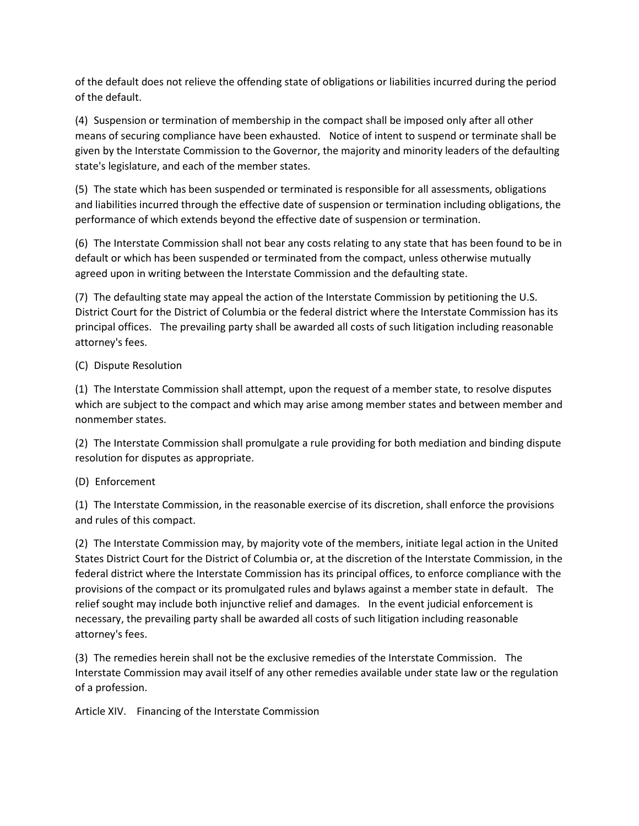of the default does not relieve the offending state of obligations or liabilities incurred during the period of the default.

(4) Suspension or termination of membership in the compact shall be imposed only after all other means of securing compliance have been exhausted. Notice of intent to suspend or terminate shall be given by the Interstate Commission to the Governor, the majority and minority leaders of the defaulting state's legislature, and each of the member states.

(5) The state which has been suspended or terminated is responsible for all assessments, obligations and liabilities incurred through the effective date of suspension or termination including obligations, the performance of which extends beyond the effective date of suspension or termination.

(6) The Interstate Commission shall not bear any costs relating to any state that has been found to be in default or which has been suspended or terminated from the compact, unless otherwise mutually agreed upon in writing between the Interstate Commission and the defaulting state.

(7) The defaulting state may appeal the action of the Interstate Commission by petitioning the U.S. District Court for the District of Columbia or the federal district where the Interstate Commission has its principal offices. The prevailing party shall be awarded all costs of such litigation including reasonable attorney's fees.

(C) Dispute Resolution

(1) The Interstate Commission shall attempt, upon the request of a member state, to resolve disputes which are subject to the compact and which may arise among member states and between member and nonmember states.

(2) The Interstate Commission shall promulgate a rule providing for both mediation and binding dispute resolution for disputes as appropriate.

# (D) Enforcement

(1) The Interstate Commission, in the reasonable exercise of its discretion, shall enforce the provisions and rules of this compact.

(2) The Interstate Commission may, by majority vote of the members, initiate legal action in the United States District Court for the District of Columbia or, at the discretion of the Interstate Commission, in the federal district where the Interstate Commission has its principal offices, to enforce compliance with the provisions of the compact or its promulgated rules and bylaws against a member state in default. The relief sought may include both injunctive relief and damages. In the event judicial enforcement is necessary, the prevailing party shall be awarded all costs of such litigation including reasonable attorney's fees.

(3) The remedies herein shall not be the exclusive remedies of the Interstate Commission. The Interstate Commission may avail itself of any other remedies available under state law or the regulation of a profession.

Article XIV. Financing of the Interstate Commission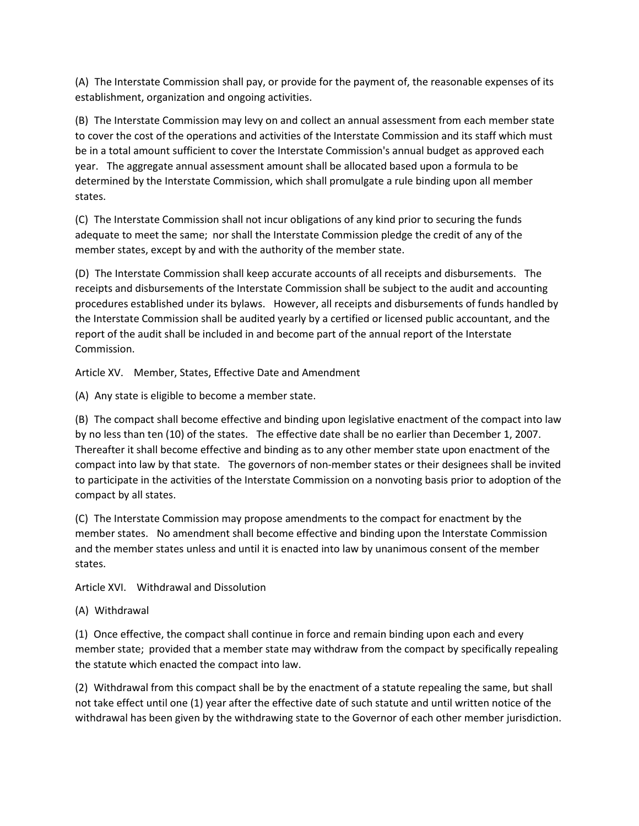(A) The Interstate Commission shall pay, or provide for the payment of, the reasonable expenses of its establishment, organization and ongoing activities.

(B) The Interstate Commission may levy on and collect an annual assessment from each member state to cover the cost of the operations and activities of the Interstate Commission and its staff which must be in a total amount sufficient to cover the Interstate Commission's annual budget as approved each year. The aggregate annual assessment amount shall be allocated based upon a formula to be determined by the Interstate Commission, which shall promulgate a rule binding upon all member states.

(C) The Interstate Commission shall not incur obligations of any kind prior to securing the funds adequate to meet the same;  nor shall the Interstate Commission pledge the credit of any of the member states, except by and with the authority of the member state.

(D) The Interstate Commission shall keep accurate accounts of all receipts and disbursements. The receipts and disbursements of the Interstate Commission shall be subject to the audit and accounting procedures established under its bylaws. However, all receipts and disbursements of funds handled by the Interstate Commission shall be audited yearly by a certified or licensed public accountant, and the report of the audit shall be included in and become part of the annual report of the Interstate Commission.

Article XV. Member, States, Effective Date and Amendment

(A) Any state is eligible to become a member state.

(B) The compact shall become effective and binding upon legislative enactment of the compact into law by no less than ten (10) of the states. The effective date shall be no earlier than December 1, 2007. Thereafter it shall become effective and binding as to any other member state upon enactment of the compact into law by that state. The governors of non-member states or their designees shall be invited to participate in the activities of the Interstate Commission on a nonvoting basis prior to adoption of the compact by all states.

(C) The Interstate Commission may propose amendments to the compact for enactment by the member states. No amendment shall become effective and binding upon the Interstate Commission and the member states unless and until it is enacted into law by unanimous consent of the member states.

Article XVI. Withdrawal and Dissolution

(A) Withdrawal

(1) Once effective, the compact shall continue in force and remain binding upon each and every member state;  provided that a member state may withdraw from the compact by specifically repealing the statute which enacted the compact into law.

(2) Withdrawal from this compact shall be by the enactment of a statute repealing the same, but shall not take effect until one (1) year after the effective date of such statute and until written notice of the withdrawal has been given by the withdrawing state to the Governor of each other member jurisdiction.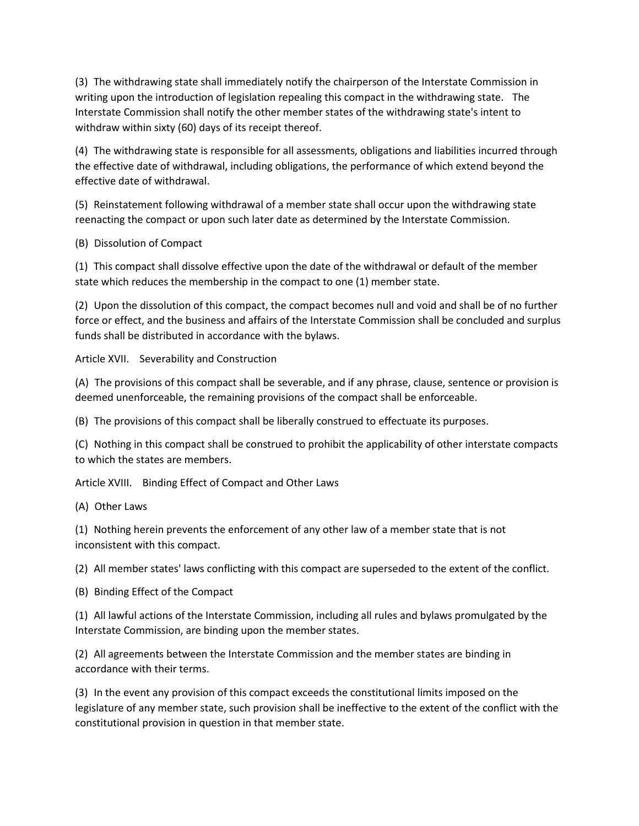(3) The withdrawing state shall immediately notify the chairperson of the Interstate Commission in writing upon the introduction of legislation repealing this compact in the withdrawing state. The Interstate Commission shall notify the other member states of the withdrawing state's intent to withdraw within sixty (60) days of its receipt thereof.

(4) The withdrawing state is responsible for all assessments, obligations and liabilities incurred through the effective date of withdrawal, including obligations, the performance of which extend beyond the effective date of withdrawal.

(5) Reinstatement following withdrawal of a member state shall occur upon the withdrawing state reenacting the compact or upon such later date as determined by the Interstate Commission.

(B) Dissolution of Compact

(1) This compact shall dissolve effective upon the date of the withdrawal or default of the member state which reduces the membership in the compact to one (1) member state.

(2) Upon the dissolution of this compact, the compact becomes null and void and shall be of no further force or effect, and the business and affairs of the Interstate Commission shall be concluded and surplus funds shall be distributed in accordance with the bylaws.

Article XVII. Severability and Construction

(A) The provisions of this compact shall be severable, and if any phrase, clause, sentence or provision is deemed unenforceable, the remaining provisions of the compact shall be enforceable.

(B) The provisions of this compact shall be liberally construed to effectuate its purposes.

(C) Nothing in this compact shall be construed to prohibit the applicability of other interstate compacts to which the states are members.

Article XVIII. Binding Effect of Compact and Other Laws

(A) Other Laws

(1) Nothing herein prevents the enforcement of any other law of a member state that is not inconsistent with this compact.

(2) All member states' laws conflicting with this compact are superseded to the extent of the conflict.

(B) Binding Effect of the Compact

(1) All lawful actions of the Interstate Commission, including all rules and bylaws promulgated by the Interstate Commission, are binding upon the member states.

(2) All agreements between the Interstate Commission and the member states are binding in accordance with their terms.

(3) In the event any provision of this compact exceeds the constitutional limits imposed on the legislature of any member state, such provision shall be ineffective to the extent of the conflict with the constitutional provision in question in that member state.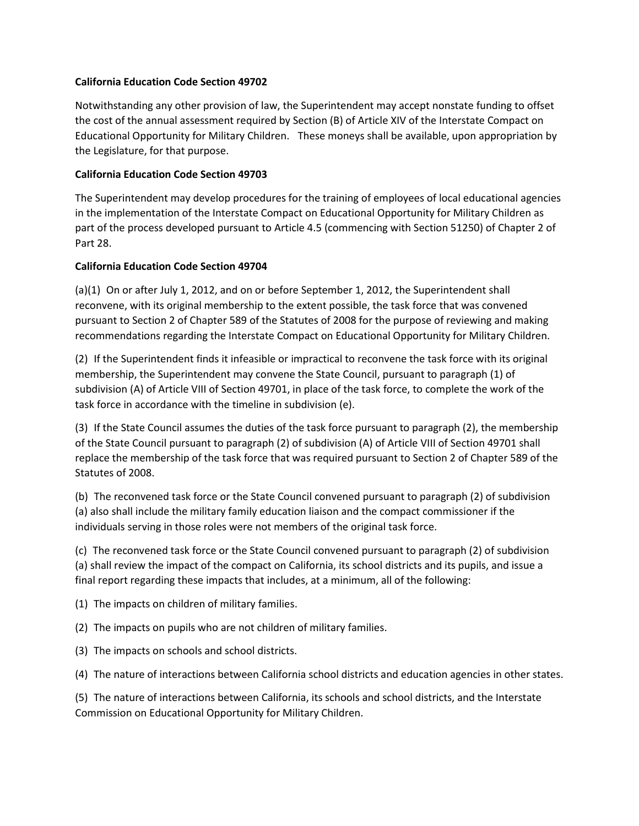### **California Education Code Section 49702**

Notwithstanding any other provision of law, the Superintendent may accept nonstate funding to offset the cost of the annual assessment required by Section (B) of Article XIV of the Interstate Compact on Educational Opportunity for Military Children. These moneys shall be available, upon appropriation by the Legislature, for that purpose.

### **California Education Code Section 49703**

The Superintendent may develop procedures for the training of employees of local educational agencies in the implementation of the Interstate Compact on Educational Opportunity for Military Children as part of the process developed pursuant to Article 4.5 (commencing with Section 51250) of Chapter 2 of Part 28.

# **California Education Code Section 49704**

(a)(1) On or after July 1, 2012, and on or before September 1, 2012, the Superintendent shall reconvene, with its original membership to the extent possible, the task force that was convened pursuant to Section 2 of Chapter 589 of the Statutes of 2008 for the purpose of reviewing and making recommendations regarding the Interstate Compact on Educational Opportunity for Military Children.

(2) If the Superintendent finds it infeasible or impractical to reconvene the task force with its original membership, the Superintendent may convene the State Council, pursuant to paragraph (1) of subdivision (A) of Article VIII of Section 49701, in place of the task force, to complete the work of the task force in accordance with the timeline in subdivision (e).

(3) If the State Council assumes the duties of the task force pursuant to paragraph (2), the membership of the State Council pursuant to paragraph (2) of subdivision (A) of Article VIII of Section 49701 shall replace the membership of the task force that was required pursuant to Section 2 of Chapter 589 of the Statutes of 2008.

(b) The reconvened task force or the State Council convened pursuant to paragraph (2) of subdivision (a) also shall include the military family education liaison and the compact commissioner if the individuals serving in those roles were not members of the original task force.

(c) The reconvened task force or the State Council convened pursuant to paragraph (2) of subdivision (a) shall review the impact of the compact on California, its school districts and its pupils, and issue a final report regarding these impacts that includes, at a minimum, all of the following:

(1) The impacts on children of military families.

(2) The impacts on pupils who are not children of military families.

(3) The impacts on schools and school districts.

(4) The nature of interactions between California school districts and education agencies in other states.

(5) The nature of interactions between California, its schools and school districts, and the Interstate Commission on Educational Opportunity for Military Children.